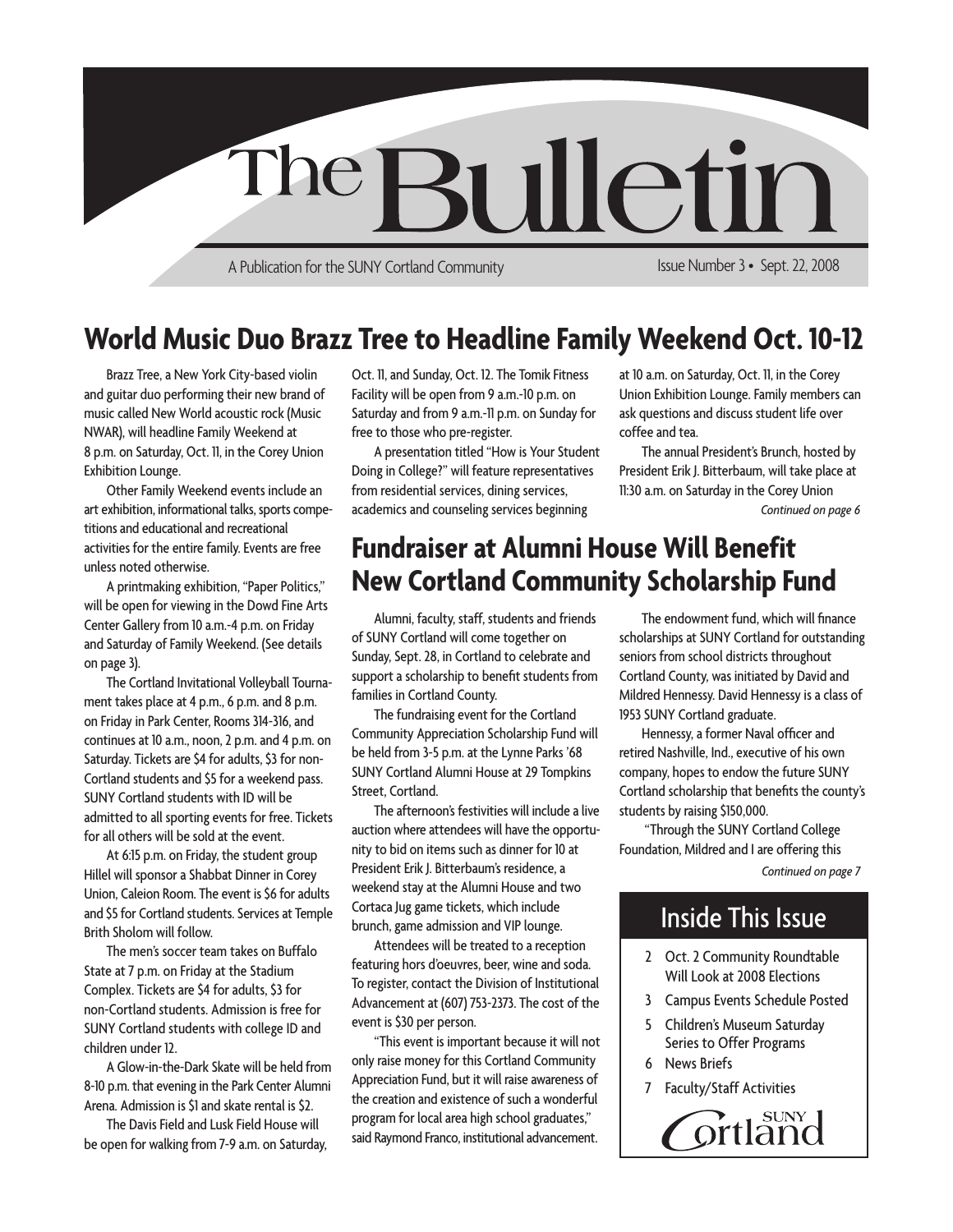

**World Music Duo Brazz Tree to Headline Family Weekend Oct. 10-12**

Brazz Tree, a New York City-based violin and guitar duo performing their new brand of music called New World acoustic rock (Music NWAR), will headline Family Weekend at 8 p.m. on Saturday, Oct. 11, in the Corey Union Exhibition Lounge.

Other Family Weekend events include an art exhibition, informational talks, sports competitions and educational and recreational activities for the entire family. Events are free unless noted otherwise.

A printmaking exhibition, "Paper Politics," will be open for viewing in the Dowd Fine Arts Center Gallery from 10 a.m.-4 p.m. on Friday and Saturday of Family Weekend. (See details on page 3).

The Cortland Invitational Volleyball Tournament takes place at 4 p.m., 6 p.m. and 8 p.m. on Friday in Park Center, Rooms 314-316, and continues at 10 a.m., noon, 2 p.m. and 4 p.m. on Saturday. Tickets are \$4 for adults, \$3 for non-Cortland students and \$5 for a weekend pass. SUNY Cortland students with ID will be admitted to all sporting events for free. Tickets for all others will be sold at the event.

At 6:15 p.m. on Friday, the student group Hillel will sponsor a Shabbat Dinner in Corey Union, Caleion Room. The event is \$6 for adults and \$5 for Cortland students. Services at Temple Brith Sholom will follow.

The men's soccer team takes on Buffalo State at 7 p.m. on Friday at the Stadium Complex. Tickets are \$4 for adults, \$3 for non-Cortland students. Admission is free for SUNY Cortland students with college ID and children under 12.

A Glow-in-the-Dark Skate will be held from 8-10 p.m. that evening in the Park Center Alumni Arena. Admission is \$1 and skate rental is \$2.

The Davis Field and Lusk Field House will be open for walking from 7-9 a.m. on Saturday, Oct. 11, and Sunday, Oct. 12. The Tomik Fitness Facility will be open from 9 a.m.-10 p.m. on Saturday and from 9 a.m.-11 p.m. on Sunday for free to those who pre-register.

A presentation titled "How is Your Student Doing in College?" will feature representatives from residential services, dining services, academics and counseling services beginning

#### Union Exhibition Lounge. Family members can ask questions and discuss student life over coffee and tea. The annual President's Brunch, hosted by

at 10 a.m. on Saturday, Oct. 11, in the Corey

*Continued on page 6* President Erik J. Bitterbaum, will take place at 11:30 a.m. on Saturday in the Corey Union

# **Fundraiser at Alumni House Will Benefit New Cortland Community Scholarship Fund**

Alumni, faculty, staff, students and friends of SUNY Cortland will come together on Sunday, Sept. 28, in Cortland to celebrate and support a scholarship to benefit students from families in Cortland County.

The fundraising event for the Cortland Community Appreciation Scholarship Fund will be held from 3-5 p.m. at the Lynne Parks '68 SUNY Cortland Alumni House at 29 Tompkins Street, Cortland.

The afternoon's festivities will include a live auction where attendees will have the opportunity to bid on items such as dinner for 10 at President Erik J. Bitterbaum's residence, a weekend stay at the Alumni House and two Cortaca Jug game tickets, which include brunch, game admission and VIP lounge.

Attendees will be treated to a reception featuring hors d'oeuvres, beer, wine and soda. To register, contact the Division of Institutional Advancement at (607) 753-2373. The cost of the event is \$30 per person.

"This event is important because it will not only raise money for this Cortland Community Appreciation Fund, but it will raise awareness of the creation and existence of such a wonderful program for local area high school graduates," said Raymond Franco, institutional advancement.

The endowment fund, which will finance scholarships at SUNY Cortland for outstanding seniors from school districts throughout Cortland County, was initiated by David and Mildred Hennessy. David Hennessy is a class of 1953 SUNY Cortland graduate.

Hennessy, a former Naval officer and retired Nashville, Ind., executive of his own company, hopes to endow the future SUNY Cortland scholarship that benefits the county's students by raising \$150,000.

 "Through the SUNY Cortland College Foundation, Mildred and I are offering this

*Continued on page 7*

# Inside This Issue

- 2 Oct. 2 Community Roundtable Will Look at 2008 Elections
- 3 Campus Events Schedule Posted
- 5 Children's Museum Saturday Series to Offer Programs
- 6 News Briefs
- 7 Faculty/Staff Activities

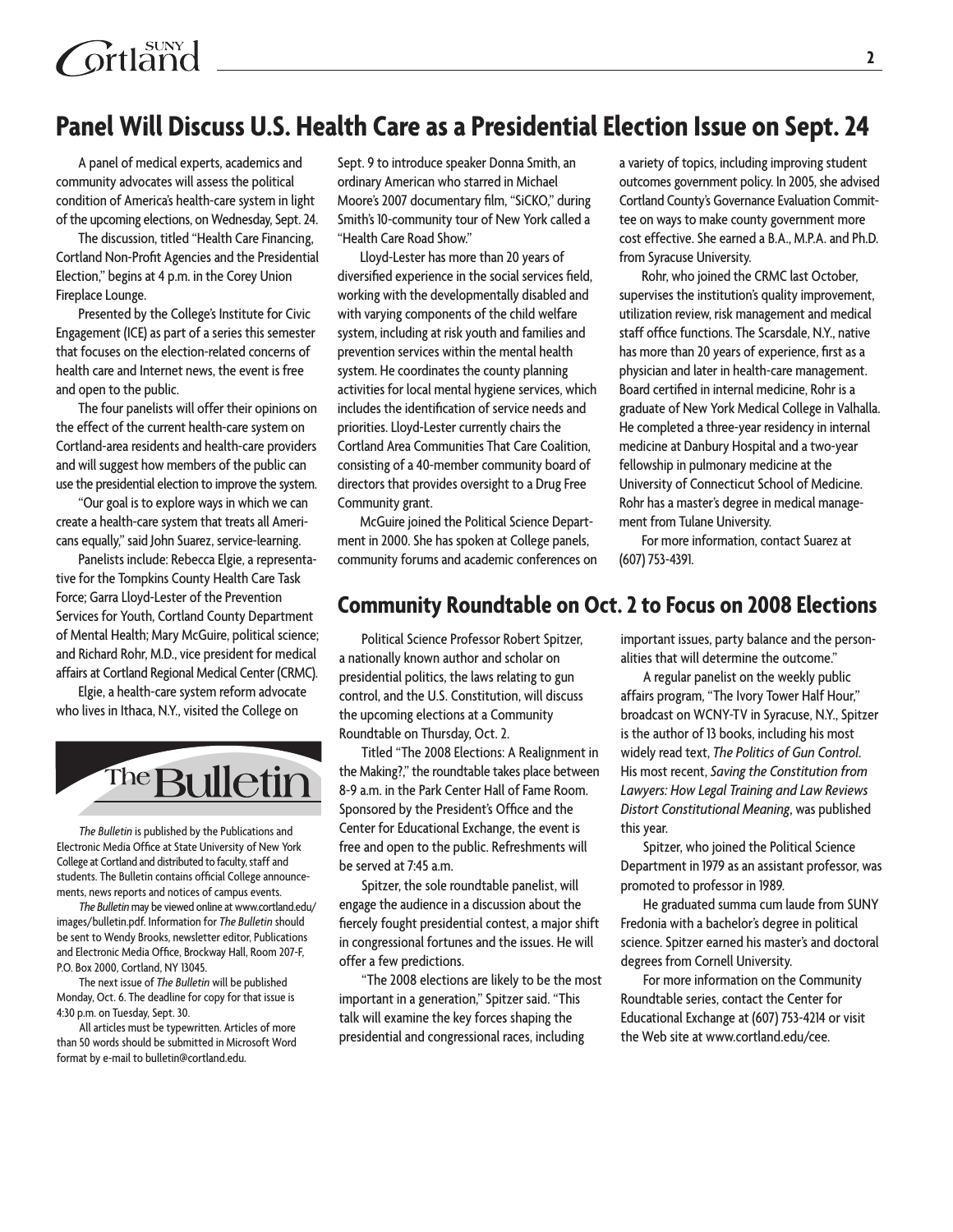# **Ortland**

# **Panel Will Discuss U.S. Health Care as a Presidential Election Issue on Sept. 24**

A panel of medical experts, academics and community advocates will assess the political condition of America's health-care system in light of the upcoming elections, on Wednesday, Sept. 24.

The discussion, titled "Health Care Financing, Cortland Non-Profit Agencies and the Presidential Election," begins at 4 p.m. in the Corey Union Fireplace Lounge.

Presented by the College's Institute for Civic Engagement (ICE) as part of a series this semester that focuses on the election-related concerns of health care and Internet news, the event is free and open to the public.

The four panelists will offer their opinions on the effect of the current health-care system on Cortland-area residents and health-care providers and will suggest how members of the public can use the presidential election to improve the system.

"Our goal is to explore ways in which we can create a health-care system that treats all Americans equally," said John Suarez, service-learning.

Panelists include: Rebecca Elgie, a representative for the Tompkins County Health Care Task Force; Garra Lloyd-Lester of the Prevention Services for Youth, Cortland County Department of Mental Health; Mary McGuire, political science; and Richard Rohr, M.D., vice president for medical affairs at Cortland Regional Medical Center (CRMC).

Elgie, a health-care system reform advocate who lives in Ithaca, N.Y., visited the College on



*The Bulletin* is published by the Publications and Electronic Media Office at State University of New York College at Cortland and distributed to faculty, staff and students. The Bulletin contains official College announcements, news reports and notices of campus events.

*The Bulletin* may be viewed online at www.cortland.edu/ images/bulletin.pdf. Information for *The Bulletin* should be sent to Wendy Brooks, newsletter editor, Publications and Electronic Media Office, Brockway Hall, Room 207-F, P.O. Box 2000, Cortland, NY 13045.

The next issue of *The Bulletin* will be published Monday, Oct. 6. The deadline for copy for that issue is 4:30 p.m. on Tuesday, Sept. 30.

All articles must be typewritten. Articles of more than 50 words should be submitted in Microsoft Word format by e-mail to bulletin@cortland.edu.

Sept. 9 to introduce speaker Donna Smith, an ordinary American who starred in Michael Moore's 2007 documentary film, "SiCKO," during Smith's 10-community tour of New York called a "Health Care Road Show."

Lloyd-Lester has more than 20 years of diversified experience in the social services field, working with the developmentally disabled and with varying components of the child welfare system, including at risk youth and families and prevention services within the mental health system. He coordinates the county planning activities for local mental hygiene services, which includes the identification of service needs and priorities. Lloyd-Lester currently chairs the Cortland Area Communities That Care Coalition, consisting of a 40-member community board of directors that provides oversight to a Drug Free Community grant.

McGuire joined the Political Science Department in 2000. She has spoken at College panels, community forums and academic conferences on a variety of topics, including improving student outcomes government policy. In 2005, she advised Cortland County's Governance Evaluation Committee on ways to make county government more cost effective. She earned a B.A., M.P.A. and Ph.D. from Syracuse University.

Rohr, who joined the CRMC last October, supervises the institution's quality improvement, utilization review, risk management and medical staff office functions. The Scarsdale, N.Y., native has more than 20 years of experience, first as a physician and later in health-care management. Board certified in internal medicine, Rohr is a graduate of New York Medical College in Valhalla. He completed a three-year residency in internal medicine at Danbury Hospital and a two-year fellowship in pulmonary medicine at the University of Connecticut School of Medicine. Rohr has a master's degree in medical management from Tulane University.

For more information, contact Suarez at (607) 753-4391.

### **Community Roundtable on Oct. 2 to Focus on 2008 Elections**

Political Science Professor Robert Spitzer, a nationally known author and scholar on presidential politics, the laws relating to gun control, and the U.S. Constitution, will discuss the upcoming elections at a Community Roundtable on Thursday, Oct. 2.

Titled "The 2008 Elections: A Realignment in the Making?," the roundtable takes place between 8-9 a.m. in the Park Center Hall of Fame Room. Sponsored by the President's Office and the Center for Educational Exchange, the event is free and open to the public. Refreshments will be served at 7:45 a.m.

Spitzer, the sole roundtable panelist, will engage the audience in a discussion about the fiercely fought presidential contest, a major shift in congressional fortunes and the issues. He will offer a few predictions.

"The 2008 elections are likely to be the most important in a generation," Spitzer said. "This talk will examine the key forces shaping the presidential and congressional races, including

important issues, party balance and the personalities that will determine the outcome."

A regular panelist on the weekly public affairs program, "The Ivory Tower Half Hour," broadcast on WCNY-TV in Syracuse, N.Y., Spitzer is the author of 13 books, including his most widely read text, *The Politics of Gun Control*. His most recent, *Saving the Constitution from Lawyers: How Legal Training and Law Reviews Distort Constitutional Meaning*, was published this year.

Spitzer, who joined the Political Science Department in 1979 as an assistant professor, was promoted to professor in 1989.

He graduated summa cum laude from SUNY Fredonia with a bachelor's degree in political science. Spitzer earned his master's and doctoral degrees from Cornell University.

For more information on the Community Roundtable series, contact the Center for Educational Exchange at (607) 753-4214 or visit the Web site at www.cortland.edu/cee.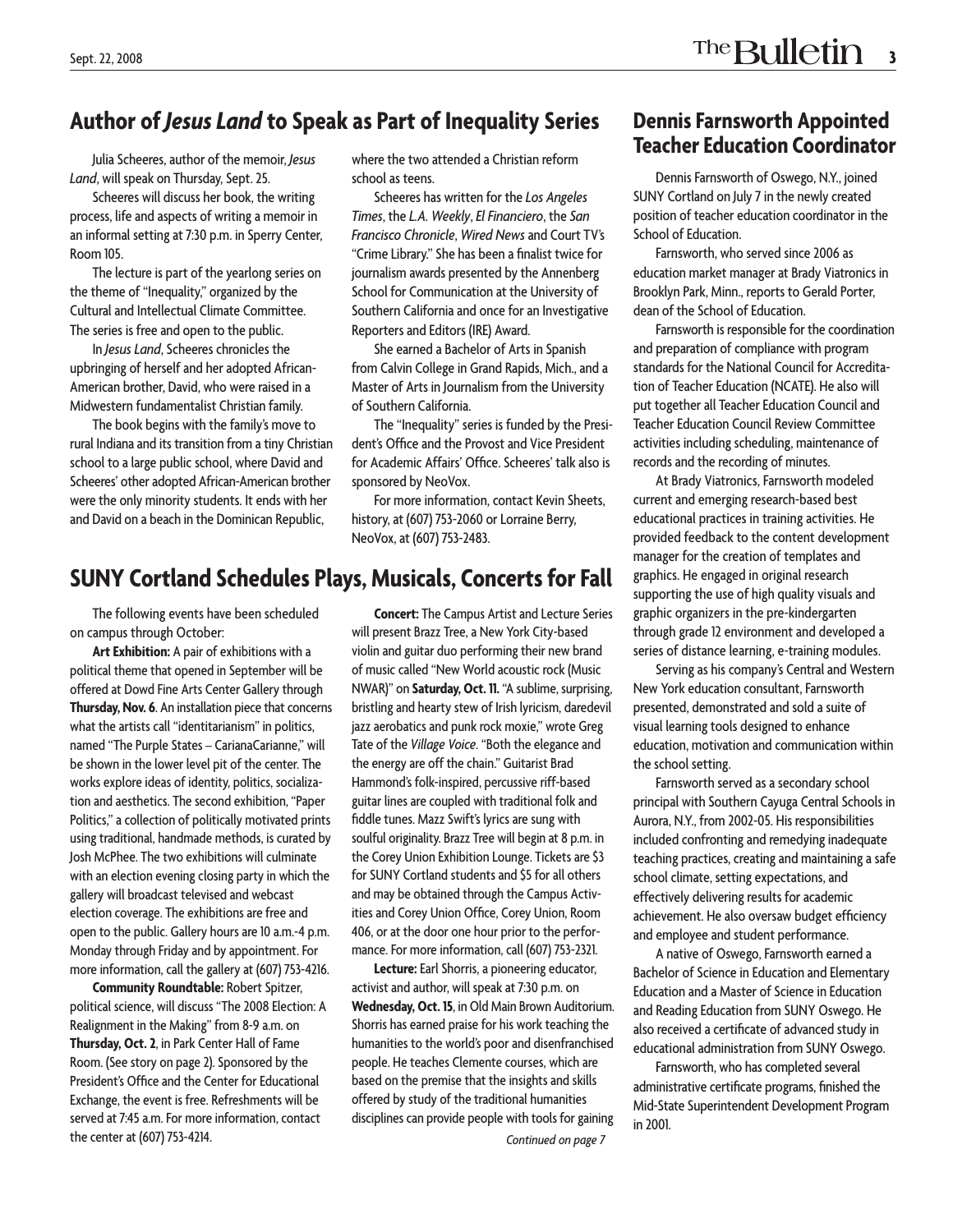Julia Scheeres, author of the memoir, *Jesus Land*, will speak on Thursday, Sept. 25.

Scheeres will discuss her book, the writing process, life and aspects of writing a memoir in an informal setting at 7:30 p.m. in Sperry Center, Room 105.

The lecture is part of the yearlong series on the theme of "Inequality," organized by the Cultural and Intellectual Climate Committee. The series is free and open to the public.

In *Jesus Land*, Scheeres chronicles the upbringing of herself and her adopted African-American brother, David, who were raised in a Midwestern fundamentalist Christian family.

The book begins with the family's move to rural Indiana and its transition from a tiny Christian school to a large public school, where David and Scheeres' other adopted African-American brother were the only minority students. It ends with her and David on a beach in the Dominican Republic,

where the two attended a Christian reform school as teens.

Scheeres has written for the *Los Angeles Times*, the *L.A. Weekly*, *El Financiero*, the *San Francisco Chronicle*, *Wired News* and Court TV's "Crime Library." She has been a finalist twice for journalism awards presented by the Annenberg School for Communication at the University of Southern California and once for an Investigative Reporters and Editors (IRE) Award.

She earned a Bachelor of Arts in Spanish from Calvin College in Grand Rapids, Mich., and a Master of Arts in Journalism from the University of Southern California.

The "Inequality" series is funded by the President's Office and the Provost and Vice President for Academic Affairs' Office. Scheeres' talk also is sponsored by NeoVox.

For more information, contact Kevin Sheets, history, at (607) 753-2060 or Lorraine Berry, NeoVox, at (607) 753-2483.

## **SUNY Cortland Schedules Plays, Musicals, Concerts for Fall**

The following events have been scheduled on campus through October:

**Art Exhibition:** A pair of exhibitions with a political theme that opened in September will be offered at Dowd Fine Arts Center Gallery through **Thursday, Nov. 6**. An installation piece that concerns what the artists call "identitarianism" in politics, named "The Purple States – CarianaCarianne," will be shown in the lower level pit of the center. The works explore ideas of identity, politics, socialization and aesthetics. The second exhibition, "Paper Politics," a collection of politically motivated prints using traditional, handmade methods, is curated by Josh McPhee. The two exhibitions will culminate with an election evening closing party in which the gallery will broadcast televised and webcast election coverage. The exhibitions are free and open to the public. Gallery hours are 10 a.m.-4 p.m. Monday through Friday and by appointment. For more information, call the gallery at (607) 753-4216.

**Community Roundtable:** Robert Spitzer, political science, will discuss "The 2008 Election: A Realignment in the Making" from 8-9 a.m. on **Thursday, Oct. 2**, in Park Center Hall of Fame Room. (See story on page 2). Sponsored by the President's Office and the Center for Educational Exchange, the event is free. Refreshments will be served at 7:45 a.m. For more information, contact the center at (607) 753-4214.

**Concert:** The Campus Artist and Lecture Series will present Brazz Tree, a New York City-based violin and guitar duo performing their new brand of music called "New World acoustic rock (Music NWAR)" on **Saturday, Oct. 11.** "A sublime, surprising, bristling and hearty stew of Irish lyricism, daredevil jazz aerobatics and punk rock moxie," wrote Greg Tate of the *Village Voice*. "Both the elegance and the energy are off the chain." Guitarist Brad Hammond's folk-inspired, percussive riff-based guitar lines are coupled with traditional folk and fiddle tunes. Mazz Swift's lyrics are sung with soulful originality. Brazz Tree will begin at 8 p.m. in the Corey Union Exhibition Lounge. Tickets are \$3 for SUNY Cortland students and \$5 for all others and may be obtained through the Campus Activities and Corey Union Office, Corey Union, Room 406, or at the door one hour prior to the performance. For more information, call (607) 753-2321.

**Lecture:** Earl Shorris, a pioneering educator, activist and author, will speak at 7:30 p.m. on **Wednesday, Oct. 15**, in Old Main Brown Auditorium. Shorris has earned praise for his work teaching the humanities to the world's poor and disenfranchised people. He teaches Clemente courses, which are based on the premise that the insights and skills offered by study of the traditional humanities disciplines can provide people with tools for gaining *Continued on page 7*

### **Dennis Farnsworth Appointed Teacher Education Coordinator**

Dennis Farnsworth of Oswego, N.Y., joined SUNY Cortland on July 7 in the newly created position of teacher education coordinator in the School of Education.

Farnsworth, who served since 2006 as education market manager at Brady Viatronics in Brooklyn Park, Minn., reports to Gerald Porter, dean of the School of Education.

Farnsworth is responsible for the coordination and preparation of compliance with program standards for the National Council for Accreditation of Teacher Education (NCATE). He also will put together all Teacher Education Council and Teacher Education Council Review Committee activities including scheduling, maintenance of records and the recording of minutes.

At Brady Viatronics, Farnsworth modeled current and emerging research-based best educational practices in training activities. He provided feedback to the content development manager for the creation of templates and graphics. He engaged in original research supporting the use of high quality visuals and graphic organizers in the pre-kindergarten through grade 12 environment and developed a series of distance learning, e-training modules.

Serving as his company's Central and Western New York education consultant, Farnsworth presented, demonstrated and sold a suite of visual learning tools designed to enhance education, motivation and communication within the school setting.

Farnsworth served as a secondary school principal with Southern Cayuga Central Schools in Aurora, N.Y., from 2002-05. His responsibilities included confronting and remedying inadequate teaching practices, creating and maintaining a safe school climate, setting expectations, and effectively delivering results for academic achievement. He also oversaw budget efficiency and employee and student performance.

A native of Oswego, Farnsworth earned a Bachelor of Science in Education and Elementary Education and a Master of Science in Education and Reading Education from SUNY Oswego. He also received a certificate of advanced study in educational administration from SUNY Oswego.

Farnsworth, who has completed several administrative certificate programs, finished the Mid-State Superintendent Development Program in 2001.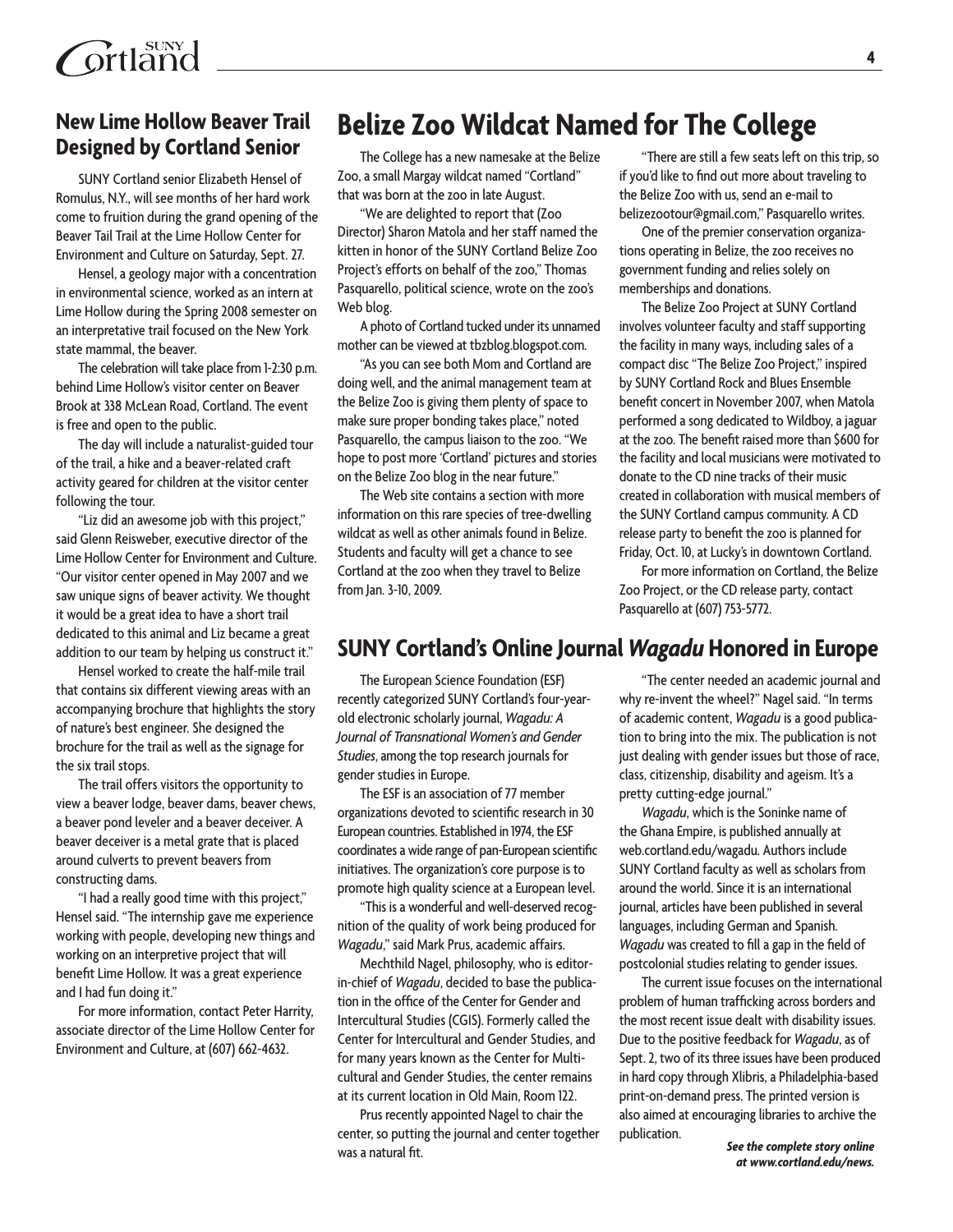## **New Lime Hollow Beaver Trail Designed by Cortland Senior**

SUNY Cortland senior Elizabeth Hensel of Romulus, N.Y., will see months of her hard work come to fruition during the grand opening of the Beaver Tail Trail at the Lime Hollow Center for Environment and Culture on Saturday, Sept. 27.

Hensel, a geology major with a concentration in environmental science, worked as an intern at Lime Hollow during the Spring 2008 semester on an interpretative trail focused on the New York state mammal, the beaver.

The celebration will take place from 1-2:30 p.m. behind Lime Hollow's visitor center on Beaver Brook at 338 McLean Road, Cortland. The event is free and open to the public.

The day will include a naturalist-guided tour of the trail, a hike and a beaver-related craft activity geared for children at the visitor center following the tour.

"Liz did an awesome job with this project," said Glenn Reisweber, executive director of the Lime Hollow Center for Environment and Culture. "Our visitor center opened in May 2007 and we saw unique signs of beaver activity. We thought it would be a great idea to have a short trail dedicated to this animal and Liz became a great addition to our team by helping us construct it."

Hensel worked to create the half-mile trail that contains six different viewing areas with an accompanying brochure that highlights the story of nature's best engineer. She designed the brochure for the trail as well as the signage for the six trail stops.

The trail offers visitors the opportunity to view a beaver lodge, beaver dams, beaver chews, a beaver pond leveler and a beaver deceiver. A beaver deceiver is a metal grate that is placed around culverts to prevent beavers from constructing dams.

"I had a really good time with this project," Hensel said. "The internship gave me experience working with people, developing new things and working on an interpretive project that will benefit Lime Hollow. It was a great experience and I had fun doing it."

For more information, contact Peter Harrity, associate director of the Lime Hollow Center for Environment and Culture, at (607) 662-4632.

# **Belize Zoo Wildcat Named for The College**

The College has a new namesake at the Belize Zoo, a small Margay wildcat named "Cortland" that was born at the zoo in late August.

"We are delighted to report that (Zoo Director) Sharon Matola and her staff named the kitten in honor of the SUNY Cortland Belize Zoo Project's efforts on behalf of the zoo," Thomas Pasquarello, political science, wrote on the zoo's Web blog.

A photo of Cortland tucked under its unnamed mother can be viewed at tbzblog.blogspot.com.

"As you can see both Mom and Cortland are doing well, and the animal management team at the Belize Zoo is giving them plenty of space to make sure proper bonding takes place," noted Pasquarello, the campus liaison to the zoo. "We hope to post more 'Cortland' pictures and stories on the Belize Zoo blog in the near future."

The Web site contains a section with more information on this rare species of tree-dwelling wildcat as well as other animals found in Belize. Students and faculty will get a chance to see Cortland at the zoo when they travel to Belize from Jan. 3-10, 2009.

"There are still a few seats left on this trip, so if you'd like to find out more about traveling to the Belize Zoo with us, send an e-mail to belizezootour@gmail.com," Pasquarello writes.

One of the premier conservation organizations operating in Belize, the zoo receives no government funding and relies solely on memberships and donations.

The Belize Zoo Project at SUNY Cortland involves volunteer faculty and staff supporting the facility in many ways, including sales of a compact disc "The Belize Zoo Project," inspired by SUNY Cortland Rock and Blues Ensemble benefit concert in November 2007, when Matola performed a song dedicated to Wildboy, a jaguar at the zoo. The benefit raised more than \$600 for the facility and local musicians were motivated to donate to the CD nine tracks of their music created in collaboration with musical members of the SUNY Cortland campus community. A CD release party to benefit the zoo is planned for Friday, Oct. 10, at Lucky's in downtown Cortland.

For more information on Cortland, the Belize Zoo Project, or the CD release party, contact Pasquarello at (607) 753-5772.

## **SUNY Cortland's Online Journal** *Wagadu* **Honored in Europe**

The European Science Foundation (ESF) recently categorized SUNY Cortland's four-yearold electronic scholarly journal, *Wagadu: A Journal of Transnational Women's and Gender Studies*, among the top research journals for gender studies in Europe.

The ESF is an association of 77 member organizations devoted to scientific research in 30 European countries. Established in 1974, the ESF coordinates a wide range of pan-European scientific initiatives. The organization's core purpose is to promote high quality science at a European level.

"This is a wonderful and well-deserved recognition of the quality of work being produced for *Wagadu*," said Mark Prus, academic affairs.

Mechthild Nagel, philosophy, who is editorin-chief of *Wagadu*, decided to base the publication in the office of the Center for Gender and Intercultural Studies (CGIS). Formerly called the Center for Intercultural and Gender Studies, and for many years known as the Center for Multicultural and Gender Studies, the center remains at its current location in Old Main, Room 122.

Prus recently appointed Nagel to chair the center, so putting the journal and center together was a natural fit.

"The center needed an academic journal and why re-invent the wheel?" Nagel said. "In terms of academic content, *Wagadu* is a good publication to bring into the mix. The publication is not just dealing with gender issues but those of race, class, citizenship, disability and ageism. It's a pretty cutting-edge journal."

*Wagadu*, which is the Soninke name of the Ghana Empire, is published annually at web.cortland.edu/wagadu. Authors include SUNY Cortland faculty as well as scholars from around the world. Since it is an international journal, articles have been published in several languages, including German and Spanish. *Wagadu* was created to fill a gap in the field of postcolonial studies relating to gender issues.

The current issue focuses on the international problem of human trafficking across borders and the most recent issue dealt with disability issues. Due to the positive feedback for *Wagadu*, as of Sept. 2, two of its three issues have been produced in hard copy through Xlibris, a Philadelphia-based print-on-demand press. The printed version is also aimed at encouraging libraries to archive the publication.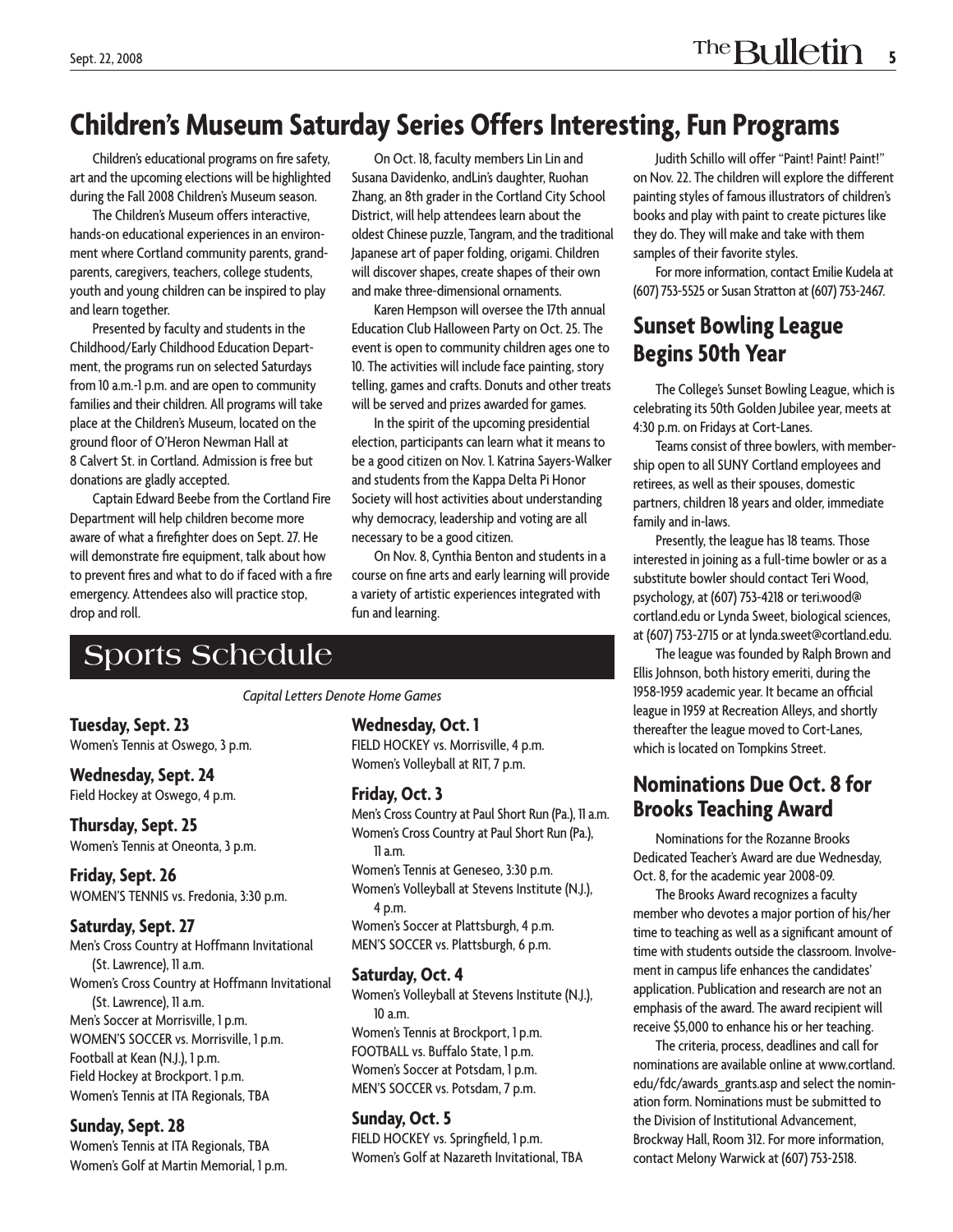# **Children's Museum Saturday Series Offers Interesting, Fun Programs**

Children's educational programs on fire safety, art and the upcoming elections will be highlighted during the Fall 2008 Children's Museum season.

The Children's Museum offers interactive, hands-on educational experiences in an environment where Cortland community parents, grandparents, caregivers, teachers, college students, youth and young children can be inspired to play and learn together.

Presented by faculty and students in the Childhood/Early Childhood Education Department, the programs run on selected Saturdays from 10 a.m.-1 p.m. and are open to community families and their children. All programs will take place at the Children's Museum, located on the ground floor of O'Heron Newman Hall at 8 Calvert St. in Cortland. Admission is free but donations are gladly accepted.

Captain Edward Beebe from the Cortland Fire Department will help children become more aware of what a firefighter does on Sept. 27. He will demonstrate fire equipment, talk about how to prevent fires and what to do if faced with a fire emergency. Attendees also will practice stop, drop and roll.

On Oct. 18, faculty members Lin Lin and Susana Davidenko, andLin's daughter, Ruohan Zhang, an 8th grader in the Cortland City School District, will help attendees learn about the oldest Chinese puzzle, Tangram, and the traditional Japanese art of paper folding, origami. Children will discover shapes, create shapes of their own and make three-dimensional ornaments.

Karen Hempson will oversee the 17th annual Education Club Halloween Party on Oct. 25. The event is open to community children ages one to 10. The activities will include face painting, story telling, games and crafts. Donuts and other treats will be served and prizes awarded for games.

In the spirit of the upcoming presidential election, participants can learn what it means to be a good citizen on Nov. 1. Katrina Sayers-Walker and students from the Kappa Delta Pi Honor Society will host activities about understanding why democracy, leadership and voting are all necessary to be a good citizen.

On Nov. 8, Cynthia Benton and students in a course on fine arts and early learning will provide a variety of artistic experiences integrated with fun and learning.

# **Sports Schedule**

*Capital Letters Denote Home Games*

**Tuesday, Sept. 23**  Women's Tennis at Oswego, 3 p.m.

**Wednesday, Sept. 24**  Field Hockey at Oswego, 4 p.m.

**Thursday, Sept. 25**  Women's Tennis at Oneonta, 3 p.m.

**Friday, Sept. 26**  WOMEN'S TENNIS vs. Fredonia, 3:30 p.m.

#### **Saturday, Sept. 27**

Men's Cross Country at Hoffmann Invitational (St. Lawrence), 11 a.m. Women's Cross Country at Hoffmann Invitational (St. Lawrence), 11 a.m. Men's Soccer at Morrisville, 1 p.m. WOMEN'S SOCCER vs. Morrisville, 1 p.m. Football at Kean (N.J.), 1 p.m. Field Hockey at Brockport. 1 p.m. Women's Tennis at ITA Regionals, TBA

#### **Sunday, Sept. 28**

Women's Tennis at ITA Regionals, TBA Women's Golf at Martin Memorial, 1 p.m. **Wednesday, Oct. 1**

FIELD HOCKEY vs. Morrisville, 4 p.m. Women's Volleyball at RIT, 7 p.m.

#### **Friday, Oct. 3**

Men's Cross Country at Paul Short Run (Pa.), 11 a.m. Women's Cross Country at Paul Short Run (Pa.), 11 a.m. Women's Tennis at Geneseo, 3:30 p.m. Women's Volleyball at Stevens Institute (N.J.), 4 p.m. Women's Soccer at Plattsburgh, 4 p.m. MEN'S SOCCER vs. Plattsburgh, 6 p.m.

#### **Saturday, Oct. 4**

Women's Volleyball at Stevens Institute (N.J.), 10 a.m. Women's Tennis at Brockport, 1 p.m. FOOTBALL vs. Buffalo State, 1 p.m.

Women's Soccer at Potsdam, 1 p.m. MEN'S SOCCER vs. Potsdam, 7 p.m.

#### **Sunday, Oct. 5**

FIELD HOCKEY vs. Springfield, 1 p.m. Women's Golf at Nazareth Invitational, TBA

Judith Schillo will offer "Paint! Paint! Paint!" on Nov. 22. The children will explore the different painting styles of famous illustrators of children's books and play with paint to create pictures like they do. They will make and take with them samples of their favorite styles.

For more information, contact Emilie Kudela at (607) 753-5525 or Susan Stratton at (607) 753-2467.

## **Sunset Bowling League Begins 50th Year**

The College's Sunset Bowling League, which is celebrating its 50th Golden Jubilee year, meets at 4:30 p.m. on Fridays at Cort-Lanes.

Teams consist of three bowlers, with membership open to all SUNY Cortland employees and retirees, as well as their spouses, domestic partners, children 18 years and older, immediate family and in-laws.

Presently, the league has 18 teams. Those interested in joining as a full-time bowler or as a substitute bowler should contact Teri Wood, psychology, at (607) 753-4218 or teri.wood@ cortland.edu or Lynda Sweet, biological sciences, at (607) 753-2715 or at lynda.sweet@cortland.edu.

The league was founded by Ralph Brown and Ellis Johnson, both history emeriti, during the 1958-1959 academic year. It became an official league in 1959 at Recreation Alleys, and shortly thereafter the league moved to Cort-Lanes, which is located on Tompkins Street.

## **Nominations Due Oct. 8 for Brooks Teaching Award**

Nominations for the Rozanne Brooks Dedicated Teacher's Award are due Wednesday, Oct. 8, for the academic year 2008-09.

The Brooks Award recognizes a faculty member who devotes a major portion of his/her time to teaching as well as a significant amount of time with students outside the classroom. Involvement in campus life enhances the candidates' application. Publication and research are not an emphasis of the award. The award recipient will receive \$5,000 to enhance his or her teaching.

The criteria, process, deadlines and call for nominations are available online at www.cortland. edu/fdc/awards\_grants.asp and select the nomination form. Nominations must be submitted to the Division of Institutional Advancement, Brockway Hall, Room 312. For more information, contact Melony Warwick at (607) 753-2518.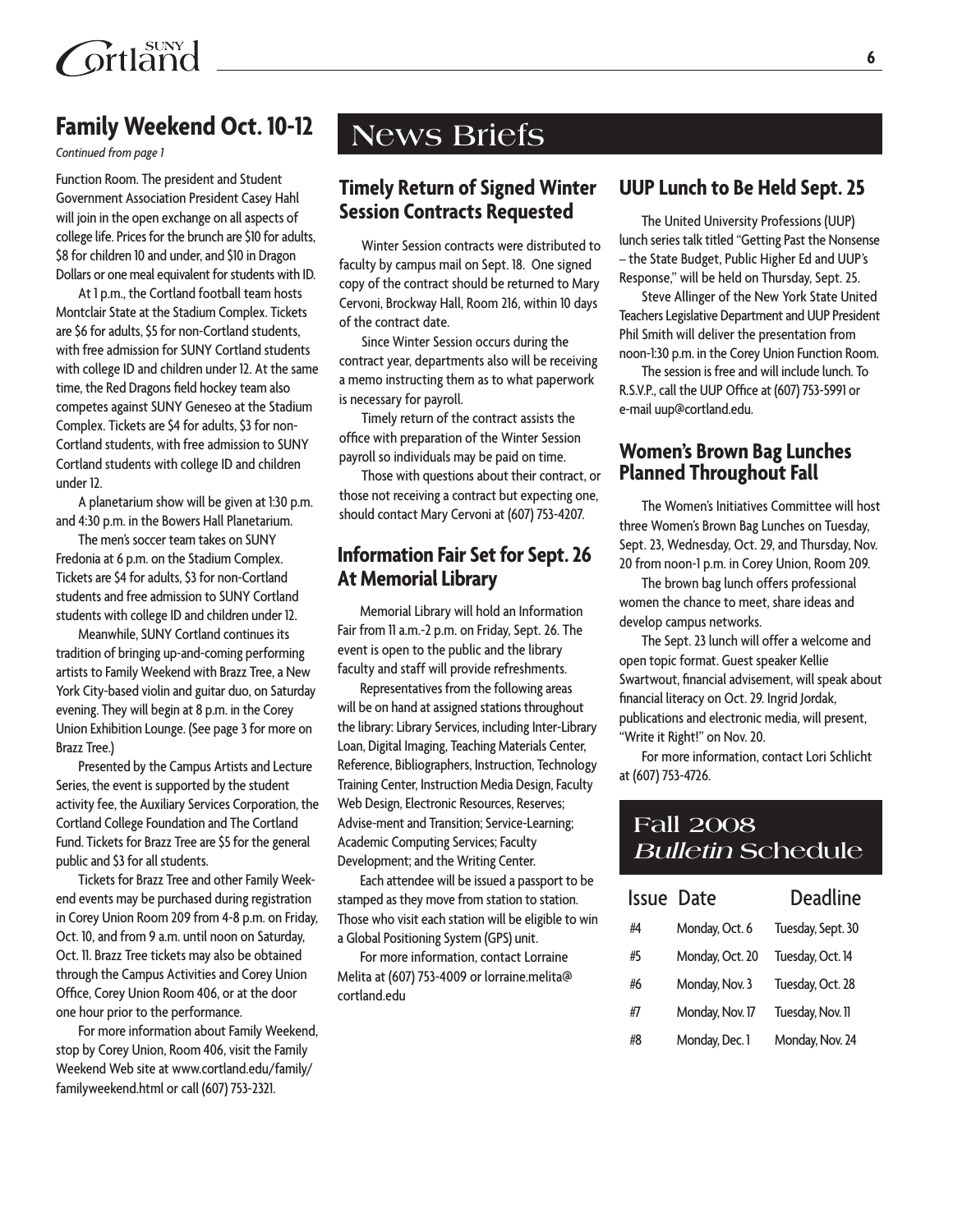

## **Family Weekend Oct. 10-12**

*Continued from page 1*

Function Room. The president and Student Government Association President Casey Hahl will join in the open exchange on all aspects of college life. Prices for the brunch are \$10 for adults, \$8 for children 10 and under, and \$10 in Dragon Dollars or one meal equivalent for students with ID.

At 1 p.m., the Cortland football team hosts Montclair State at the Stadium Complex. Tickets are \$6 for adults, \$5 for non-Cortland students, with free admission for SUNY Cortland students with college ID and children under 12. At the same time, the Red Dragons field hockey team also competes against SUNY Geneseo at the Stadium Complex. Tickets are \$4 for adults, \$3 for non-Cortland students, with free admission to SUNY Cortland students with college ID and children under 12.

A planetarium show will be given at 1:30 p.m. and 4:30 p.m. in the Bowers Hall Planetarium.

The men's soccer team takes on SUNY Fredonia at 6 p.m. on the Stadium Complex. Tickets are \$4 for adults, \$3 for non-Cortland students and free admission to SUNY Cortland students with college ID and children under 12.

Meanwhile, SUNY Cortland continues its tradition of bringing up-and-coming performing artists to Family Weekend with Brazz Tree, a New York City-based violin and guitar duo, on Saturday evening. They will begin at 8 p.m. in the Corey Union Exhibition Lounge. (See page 3 for more on Brazz Tree.)

Presented by the Campus Artists and Lecture Series, the event is supported by the student activity fee, the Auxiliary Services Corporation, the Cortland College Foundation and The Cortland Fund. Tickets for Brazz Tree are \$5 for the general public and \$3 for all students.

Tickets for Brazz Tree and other Family Weekend events may be purchased during registration in Corey Union Room 209 from 4-8 p.m. on Friday, Oct. 10, and from 9 a.m. until noon on Saturday, Oct. 11. Brazz Tree tickets may also be obtained through the Campus Activities and Corey Union Office, Corey Union Room 406, or at the door one hour prior to the performance.

For more information about Family Weekend, stop by Corey Union, Room 406, visit the Family Weekend Web site at www.cortland.edu/family/ familyweekend.html or call (607) 753-2321.

# **News Briefs**

### **Timely Return of Signed Winter Session Contracts Requested**

Winter Session contracts were distributed to faculty by campus mail on Sept. 18. One signed copy of the contract should be returned to Mary Cervoni, Brockway Hall, Room 216, within 10 days of the contract date.

Since Winter Session occurs during the contract year, departments also will be receiving a memo instructing them as to what paperwork is necessary for payroll.

Timely return of the contract assists the office with preparation of the Winter Session payroll so individuals may be paid on time.

Those with questions about their contract, or those not receiving a contract but expecting one, should contact Mary Cervoni at (607) 753-4207.

### **Information Fair Set for Sept. 26 At Memorial Library**

Memorial Library will hold an Information Fair from 11 a.m.-2 p.m. on Friday, Sept. 26. The event is open to the public and the library faculty and staff will provide refreshments.

Representatives from the following areas will be on hand at assigned stations throughout the library: Library Services, including Inter-Library Loan, Digital Imaging, Teaching Materials Center, Reference, Bibliographers, Instruction, Technology Training Center, Instruction Media Design, Faculty Web Design, Electronic Resources, Reserves; Advise-ment and Transition; Service-Learning; Academic Computing Services; Faculty Development; and the Writing Center.

Each attendee will be issued a passport to be stamped as they move from station to station. Those who visit each station will be eligible to win a Global Positioning System (GPS) unit.

For more information, contact Lorraine Melita at (607) 753-4009 or lorraine.melita@ cortland.edu

### **UUP Lunch to Be Held Sept. 25**

The United University Professions (UUP) lunch series talk titled "Getting Past the Nonsense – the State Budget, Public Higher Ed and UUP's Response," will be held on Thursday, Sept. 25.

Steve Allinger of the New York State United Teachers Legislative Department and UUP President Phil Smith will deliver the presentation from noon-1:30 p.m. in the Corey Union Function Room.

The session is free and will include lunch. To R.S.V.P., call the UUP Office at (607) 753-5991 or e-mail uup@cortland.edu.

### **Women's Brown Bag Lunches Planned Throughout Fall**

The Women's Initiatives Committee will host three Women's Brown Bag Lunches on Tuesday, Sept. 23, Wednesday, Oct. 29, and Thursday, Nov. 20 from noon-1 p.m. in Corey Union, Room 209.

The brown bag lunch offers professional women the chance to meet, share ideas and develop campus networks.

The Sept. 23 lunch will offer a welcome and open topic format. Guest speaker Kellie Swartwout, financial advisement, will speak about financial literacy on Oct. 29. Ingrid Jordak, publications and electronic media, will present, "Write it Right!" on Nov. 20.

For more information, contact Lori Schlicht at (607) 753-4726.

## **Fall 2008 Bulletin Schedule**

|    | <b>Issue Date</b> | <b>Deadline</b>   |
|----|-------------------|-------------------|
| #4 | Monday, Oct. 6    | Tuesday, Sept. 30 |
| #5 | Monday, Oct. 20   | Tuesday, Oct. 14  |
| #6 | Monday, Nov. 3    | Tuesday, Oct. 28  |
| #7 | Monday, Nov. 17   | Tuesday, Nov. 11  |
| #8 | Monday, Dec. 1    | Monday, Nov. 24   |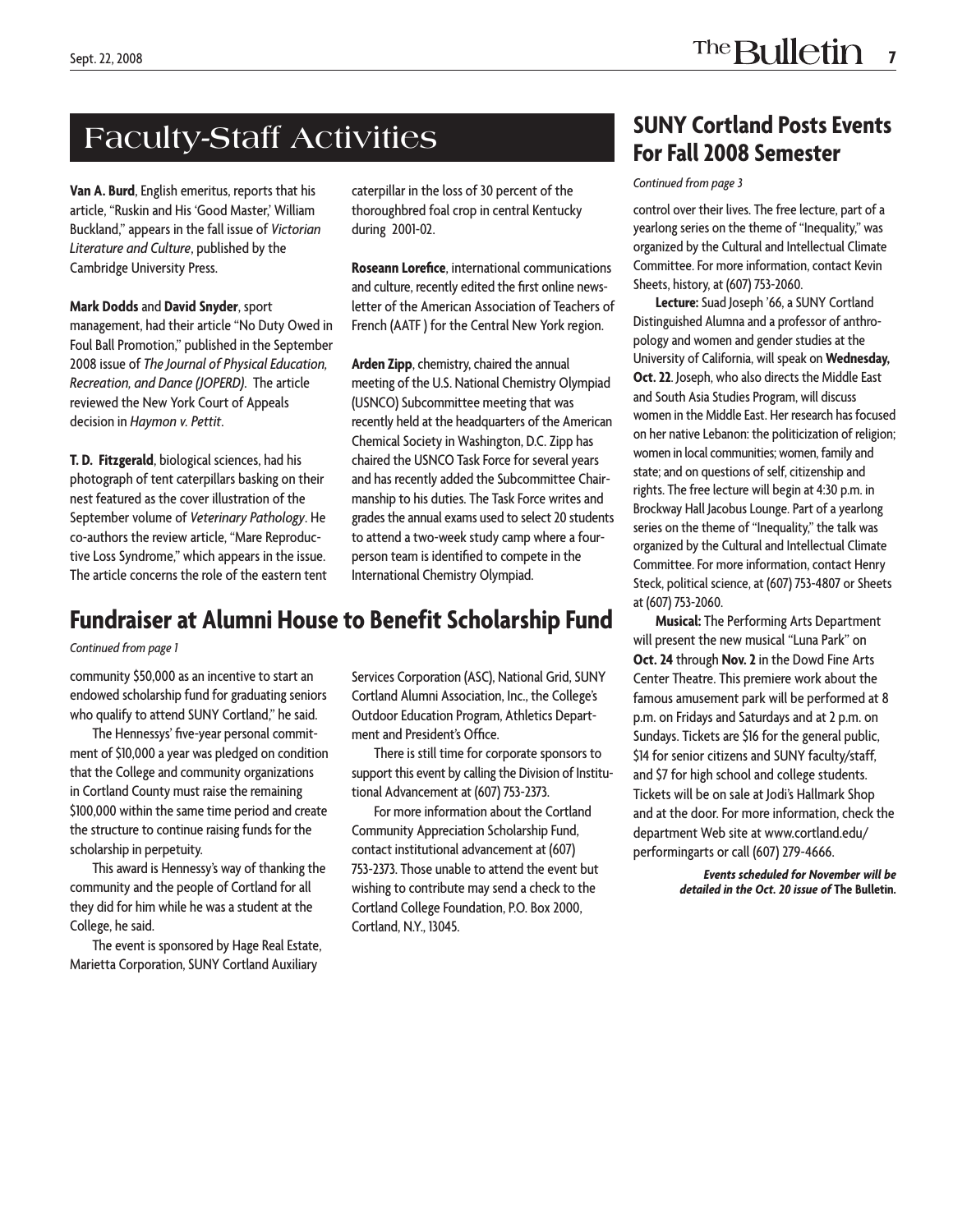# **Faculty-Staff Activities**

**Van A. Burd**, English emeritus, reports that his article, "Ruskin and His 'Good Master,' William Buckland," appears in the fall issue of *Victorian Literature and Culture*, published by the Cambridge University Press.

**Mark Dodds** and **David Snyder**, sport management, had their article "No Duty Owed in Foul Ball Promotion," published in the September 2008 issue of *The Journal of Physical Education, Recreation, and Dance (JOPERD)*. The article reviewed the New York Court of Appeals decision in *Haymon v. Pettit*.

**T. D. Fitzgerald**, biological sciences, had his photograph of tent caterpillars basking on their nest featured as the cover illustration of the September volume of *Veterinary Pathology*. He co-authors the review article, "Mare Reproductive Loss Syndrome," which appears in the issue. The article concerns the role of the eastern tent caterpillar in the loss of 30 percent of the thoroughbred foal crop in central Kentucky during 2001-02.

**Roseann Lorefice**, international communications and culture, recently edited the first online newsletter of the American Association of Teachers of French (AATF) for the Central New York region.

**Arden Zipp**, chemistry, chaired the annual meeting of the U.S. National Chemistry Olympiad (USNCO) Subcommittee meeting that was recently held at the headquarters of the American Chemical Society in Washington, D.C. Zipp has chaired the USNCO Task Force for several years and has recently added the Subcommittee Chairmanship to his duties. The Task Force writes and grades the annual exams used to select 20 students to attend a two-week study camp where a fourperson team is identified to compete in the International Chemistry Olympiad.

## **Fundraiser at Alumni House to Benefit Scholarship Fund**

#### *Continued from page 1*

community \$50,000 as an incentive to start an endowed scholarship fund for graduating seniors who qualify to attend SUNY Cortland," he said.

The Hennessys' five-year personal commitment of \$10,000 a year was pledged on condition that the College and community organizations in Cortland County must raise the remaining \$100,000 within the same time period and create the structure to continue raising funds for the scholarship in perpetuity.

This award is Hennessy's way of thanking the community and the people of Cortland for all they did for him while he was a student at the College, he said.

The event is sponsored by Hage Real Estate, Marietta Corporation, SUNY Cortland Auxiliary

Services Corporation (ASC), National Grid, SUNY Cortland Alumni Association, Inc., the College's Outdoor Education Program, Athletics Department and President's Office.

There is still time for corporate sponsors to support this event by calling the Division of Institutional Advancement at (607) 753-2373.

For more information about the Cortland Community Appreciation Scholarship Fund, contact institutional advancement at (607) 753-2373. Those unable to attend the event but wishing to contribute may send a check to the Cortland College Foundation, P.O. Box 2000, Cortland, N.Y., 13045.

## **SUNY Cortland Posts Events For Fall 2008 Semester**

#### *Continued from page 3*

control over their lives. The free lecture, part of a yearlong series on the theme of "Inequality," was organized by the Cultural and Intellectual Climate Committee. For more information, contact Kevin Sheets, history, at (607) 753-2060.

**Lecture:** Suad Joseph '66, a SUNY Cortland Distinguished Alumna and a professor of anthropology and women and gender studies at the University of California, will speak on **Wednesday, Oct. 22**. Joseph, who also directs the Middle East and South Asia Studies Program, will discuss women in the Middle East. Her research has focused on her native Lebanon: the politicization of religion; women in local communities; women, family and state; and on questions of self, citizenship and rights. The free lecture will begin at 4:30 p.m. in Brockway Hall Jacobus Lounge. Part of a yearlong series on the theme of "Inequality," the talk was organized by the Cultural and Intellectual Climate Committee. For more information, contact Henry Steck, political science, at (607) 753-4807 or Sheets at (607) 753-2060.

**Musical:** The Performing Arts Department will present the new musical "Luna Park" on **Oct. 24** through **Nov. 2** in the Dowd Fine Arts Center Theatre. This premiere work about the famous amusement park will be performed at 8 p.m. on Fridays and Saturdays and at 2 p.m. on Sundays. Tickets are \$16 for the general public, \$14 for senior citizens and SUNY faculty/staff, and \$7 for high school and college students. Tickets will be on sale at Jodi's Hallmark Shop and at the door. For more information, check the department Web site at www.cortland.edu/ performingarts or call (607) 279-4666.

> *Events scheduled for November will be detailed in the Oct. 20 issue of* **The Bulletin.**